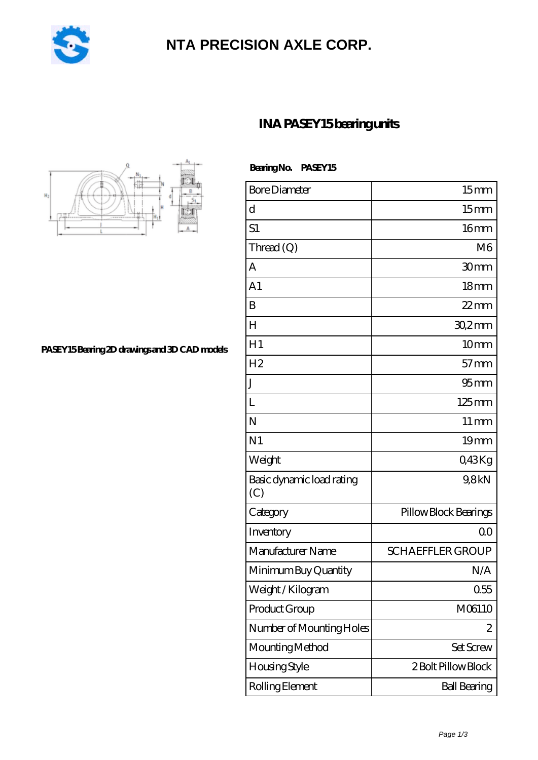

## **[NTA PRECISION AXLE CORP.](https://m.pejle.com)**



 **Bearing No. PASEY15**

**[INA PASEY15 bearing units](https://m.pejle.com/sell-448678-ina-pasey15-bearing-units.html)**

| <b>Bore Diameter</b>             | 15 <sub>mm</sub>        |
|----------------------------------|-------------------------|
| d                                | 15mm                    |
| S1                               | 16 <sub>mm</sub>        |
| Thread (Q)                       | M6                      |
| А                                | 30mm                    |
| A <sub>1</sub>                   | 18 <sub>mm</sub>        |
| B                                | $22$ mm                 |
| H                                | $302$ mm                |
| H1                               | 10mm                    |
| H <sub>2</sub>                   | $57$ mm                 |
| J                                | 95 <sub>mm</sub>        |
| L                                | $125$ mm                |
| N                                | $11 \,\mathrm{mm}$      |
| N <sub>1</sub>                   | 19 <sub>mm</sub>        |
| Weight                           | Q43Kg                   |
| Basic dynamic load rating<br>(C) | 9,8kN                   |
| Category                         | Pillow Block Bearings   |
| Inventory                        | 00                      |
| Manufacturer Name                | <b>SCHAEFFLER GROUP</b> |
| Minimum Buy Quantity             | N/A                     |
| Weight / Kilogram                | 0.55                    |
| Product Group                    | M06110                  |
| Number of Mounting Holes         | 2                       |
| Mounting Method                  | Set Screw               |
| Housing Style                    | 2 Bolt Pillow Block     |
| Rolling Element                  | <b>Ball Bearing</b>     |

**[PASEY15 Bearing 2D drawings and 3D CAD models](https://m.pejle.com/pic-448678.html)**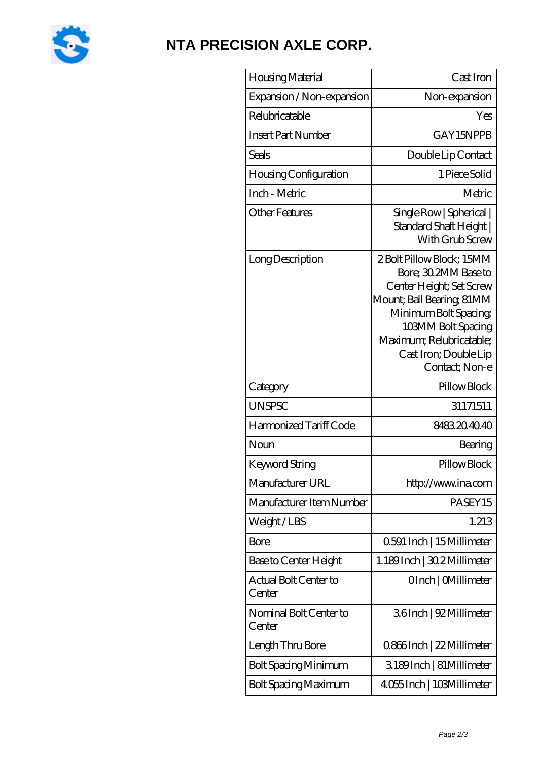

## **[NTA PRECISION AXLE CORP.](https://m.pejle.com)**

| Housing Material                 | Cast Iron                                                                                                                                                                                                                       |
|----------------------------------|---------------------------------------------------------------------------------------------------------------------------------------------------------------------------------------------------------------------------------|
| Expansion / Non-expansion        | Non-expansion                                                                                                                                                                                                                   |
| Relubricatable                   | Yes                                                                                                                                                                                                                             |
| <b>Insert Part Number</b>        | GAY15NPPB                                                                                                                                                                                                                       |
| Seals                            | Double Lip Contact                                                                                                                                                                                                              |
| Housing Configuration            | 1 Piece Solid                                                                                                                                                                                                                   |
| Inch - Metric                    | Metric                                                                                                                                                                                                                          |
| <b>Other Features</b>            | Single Row   Spherical  <br>Standard Shaft Height  <br>With Grub Screw                                                                                                                                                          |
| Long Description                 | 2 Bolt Pillow Block; 15MM<br>Bore; 30.2MM Base to<br>Center Height; Set Screw<br>Mount; Ball Bearing; 81MM<br>Minimum Bolt Spacing<br>103MM Bolt Spacing<br>Maximum; Relubricatable;<br>Cast Iron; Double Lip<br>Contact; Non-e |
| Category                         | Pillow Block                                                                                                                                                                                                                    |
| <b>UNSPSC</b>                    | 31171511                                                                                                                                                                                                                        |
| Harmonized Tariff Code           | 8483204040                                                                                                                                                                                                                      |
| Noun                             | Bearing                                                                                                                                                                                                                         |
| Keyword String                   | Pillow Block                                                                                                                                                                                                                    |
| Manufacturer URL                 | http://www.ina.com                                                                                                                                                                                                              |
| Manufacturer Item Number         | PASEY15                                                                                                                                                                                                                         |
| Weight/LBS                       | 1.213                                                                                                                                                                                                                           |
| Bore                             | 0.591 Inch   15 Millimeter                                                                                                                                                                                                      |
| Base to Center Height            | 1.189Inch   30.2 Millimeter                                                                                                                                                                                                     |
| Actual Bolt Center to<br>Center  | OInch   CMillimeter                                                                                                                                                                                                             |
| Nominal Bolt Center to<br>Center | 36Inch   92 Millimeter                                                                                                                                                                                                          |
| Length Thru Bore                 | 0.866Inch   22 Millimeter                                                                                                                                                                                                       |
| <b>Bolt Spacing Minimum</b>      | 3189Inch   81Millimeter                                                                                                                                                                                                         |
| <b>Bolt Spacing Maximum</b>      | 4055 Inch   103Millimeter                                                                                                                                                                                                       |